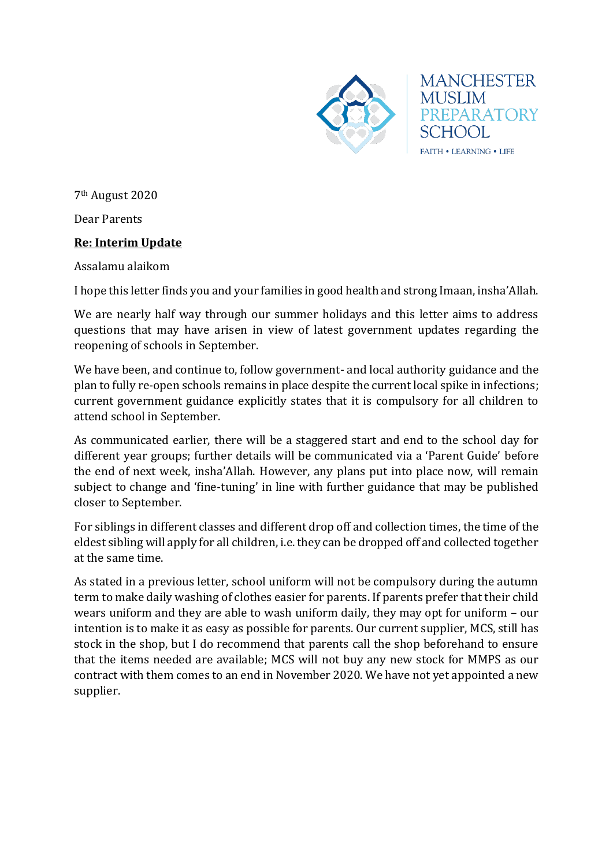

**MANCHESTER MUSLIM** PREPARATORY SCHOOL FAITH . LEARNING . LIFE

7th August 2020

Dear Parents

## **Re: Interim Update**

Assalamu alaikom

I hope this letter finds you and your families in good health and strong Imaan, insha'Allah.

We are nearly half way through our summer holidays and this letter aims to address questions that may have arisen in view of latest government updates regarding the reopening of schools in September.

We have been, and continue to, follow government- and local authority guidance and the plan to fully re-open schools remains in place despite the current local spike in infections; current government guidance explicitly states that it is compulsory for all children to attend school in September.

As communicated earlier, there will be a staggered start and end to the school day for different year groups; further details will be communicated via a 'Parent Guide' before the end of next week, insha'Allah. However, any plans put into place now, will remain subject to change and 'fine-tuning' in line with further guidance that may be published closer to September.

For siblings in different classes and different drop off and collection times, the time of the eldest sibling will apply for all children, i.e. they can be dropped off and collected together at the same time.

As stated in a previous letter, school uniform will not be compulsory during the autumn term to make daily washing of clothes easier for parents. If parents prefer that their child wears uniform and they are able to wash uniform daily, they may opt for uniform – our intention is to make it as easy as possible for parents. Our current supplier, MCS, still has stock in the shop, but I do recommend that parents call the shop beforehand to ensure that the items needed are available; MCS will not buy any new stock for MMPS as our contract with them comes to an end in November 2020. We have not yet appointed a new supplier.